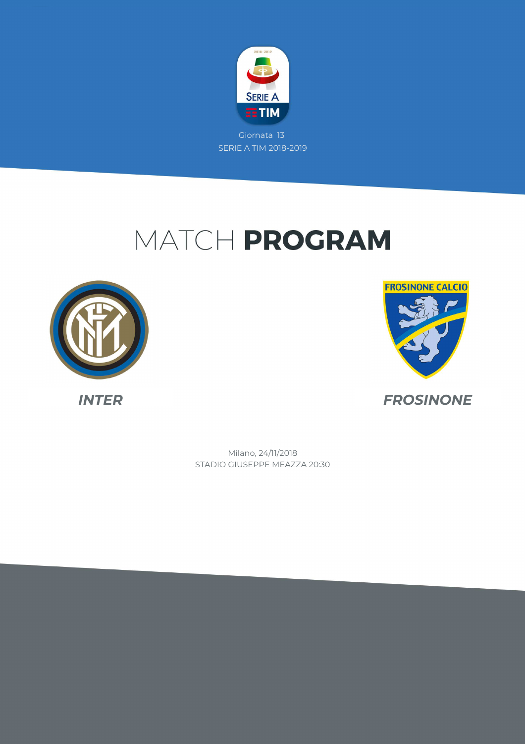

# MATCH PROGRAM





STADIO GIUSEPPE MEAZZA 20:30 Milano, 24/11/2018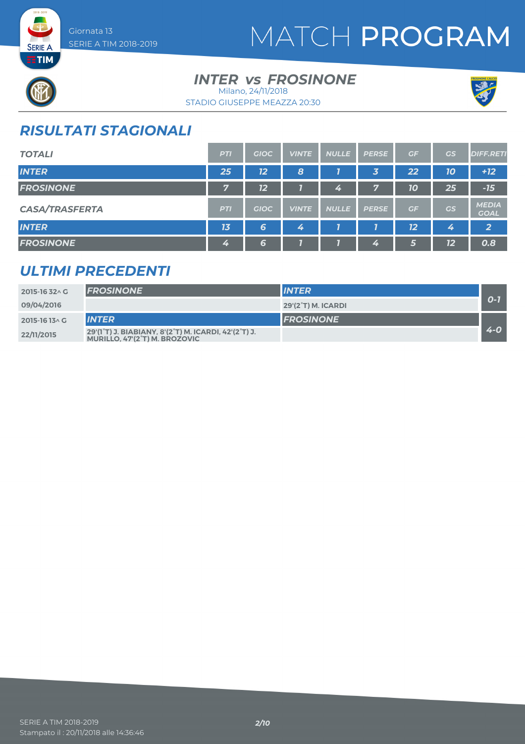# MATCH PROGRAM



**SERIE A ETIM** 

#### **INTER vs FROSINONE** Milano, 24/11/2018

STADIO GIUSEPPE MEAZZA 20:30



### *RISULTATI STAGIONALI*

| <b>TOTALI</b>         | <b>PTI</b>     | <b>GIOC</b> | <b>VINTE</b> | <b>NULLE</b> | <b>PERSE</b>            | GF | GS        | <b>DIFF.RETI</b>            |
|-----------------------|----------------|-------------|--------------|--------------|-------------------------|----|-----------|-----------------------------|
| <b>INTER</b>          | 25             | 12          | 8            |              | $\overline{\mathbf{3}}$ | 22 | 10        | $+12$                       |
| <b>FROSINONE</b>      | $\overline{7}$ | 12          |              | 4            | 57                      | 10 | 25        | $-15$                       |
| <b>CASA/TRASFERTA</b> | <b>PTI</b>     | <b>GIOC</b> | <b>VINTE</b> | <b>NULLE</b> | <b>PERSE</b>            | GF | <b>GS</b> | <b>MEDIA</b><br><b>GOAL</b> |
| <b>INTER</b>          | 13             | 6           | 4            |              |                         | 12 | 4         | $\overline{2}$              |
| <b>FROSINONE</b>      | 4              | 6           |              |              | 4                       | 5  | 12        | 0.8                         |

### *ULTIMI PRECEDENTI*

| 2015-16 32^ G  | <b>FROSINONE</b>                                                                      | <b>INTER</b>       |         |
|----------------|---------------------------------------------------------------------------------------|--------------------|---------|
| 09/04/2016     |                                                                                       | 29'(2°T) M. ICARDI | 0-1     |
| 2015-16 13 \ G | <b>INTER</b>                                                                          | <b>FROSINONE</b>   |         |
| 22/11/2015     | 29'(1°T) J. BIABIANY, 8'(2°T) M. ICARDI, 42'(2°T) J.<br>MURILLO, 47'(2°T) M. BROZOVIC |                    | $4 - 0$ |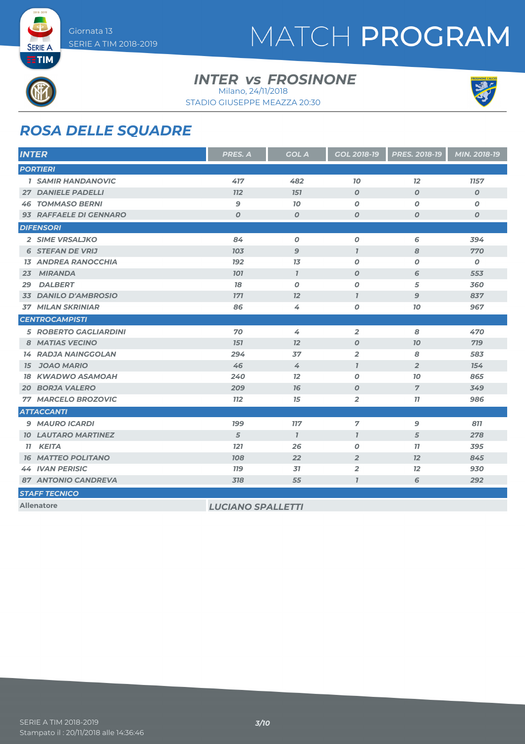

**SERIE A ETIM** 

# MATCH PROGRAM

#### **INTER vs FROSINONE** Milano, 24/11/2018

STADIO GIUSEPPE MEAZZA 20:30



### *ROSA DELLE SQUADRE*

| <b>INTER</b>                 | PRES. A          | <b>GOL A</b>     | <b>GOL 2018-19</b><br><b>PRES. 2018-19</b> |                  | <b>MIN. 2018-19</b> |
|------------------------------|------------------|------------------|--------------------------------------------|------------------|---------------------|
| <b>PORTIERI</b>              |                  |                  |                                            |                  |                     |
| <b>1 SAMIR HANDANOVIC</b>    | 417              | 482              | 70                                         | 12               | 1157                |
| <b>27 DANIELE PADELLI</b>    | <b>772</b>       | <b>151</b>       | $\boldsymbol{O}$                           | $\boldsymbol{O}$ | $\boldsymbol{0}$    |
| <b>46 TOMMASO BERNI</b>      | $\mathbf{9}$     | 70               | $\boldsymbol{0}$                           | 0                | $\boldsymbol{o}$    |
| 93 RAFFAELE DI GENNARO       | $\boldsymbol{O}$ | $\boldsymbol{0}$ | $\boldsymbol{0}$                           | $\boldsymbol{0}$ | $\boldsymbol{o}$    |
| <b>DIFENSORI</b>             |                  |                  |                                            |                  |                     |
| 2 SIME VRSALJKO              | 84               | $\boldsymbol{0}$ | $\boldsymbol{0}$                           | 6                | 394                 |
| <b>6 STEFAN DE VRIJ</b>      | 703              | $\mathbf{9}$     | $\overline{1}$                             | 8                | 770                 |
| <b>13 ANDREA RANOCCHIA</b>   | <b>192</b>       | 13               | 0                                          | 0                | 0                   |
| <b>MIRANDA</b><br>23         | <b>101</b>       | $\mathcal{I}$    | $\boldsymbol{O}$                           | 6                | 553                 |
| <b>DALBERT</b><br>29         | 78               | $\boldsymbol{0}$ | $\boldsymbol{O}$                           | 5                | 360                 |
| 33 DANILO D'AMBROSIO         | <b>771</b>       | 12               | $\overline{1}$                             | $\overline{9}$   | 837                 |
| <b>37 MILAN SKRINIAR</b>     | 86               | 4                | 0                                          | 10               | 967                 |
| <b>CENTROCAMPISTI</b>        |                  |                  |                                            |                  |                     |
| <b>5 ROBERTO GAGLIARDINI</b> | 70               | 4                | $\overline{2}$                             | 8                | 470                 |
| 8 MATIAS VECINO              | <b>151</b>       | 12               | $\boldsymbol{0}$                           | 70               | 719                 |
| <b>14 RADJA NAINGGOLAN</b>   | 294              | 37               | $\overline{2}$                             | 8                | 583                 |
| <b>JOAO MARIO</b><br>15      | 46               | 4                | $\overline{1}$                             | $\overline{2}$   | 154                 |
| <b>18 KWADWO ASAMOAH</b>     | 240              | 12               | $\boldsymbol{O}$                           | 70               | 865                 |
| <b>20 BORJA VALERO</b>       | 209              | 76               | $\boldsymbol{0}$                           | $\overline{7}$   | 349                 |
| 77 MARCELO BROZOVIC          | <b>112</b>       | 15               | $\overline{2}$                             | 77               | 986                 |
| <b>ATTACCANTI</b>            |                  |                  |                                            |                  |                     |
| 9 MAURO ICARDI               | <b>199</b>       | <b>117</b>       | 7                                          | 9                | 811                 |
| <b>10 LAUTARO MARTINEZ</b>   | 5                | $\mathcal{I}$    | $\mathbf{7}$                               | $\overline{5}$   | 278                 |
| 11 KEITA                     | <b>121</b>       | 26               | 0                                          | 11               | 395                 |
| <b>16 MATTEO POLITANO</b>    | <b>108</b>       | 22               | $\overline{2}$                             | 12               | 845                 |
| <b>44 IVAN PERISIC</b>       | <b>779</b>       | 31               | $\overline{2}$                             | 12               | 930                 |
| <b>87 ANTONIO CANDREVA</b>   | 318              | 55               | $\overline{1}$                             | 6                | 292                 |
| <b>STAFF TECNICO</b>         |                  |                  |                                            |                  |                     |

**Allenatore** *LUCIANO SPALLETTI*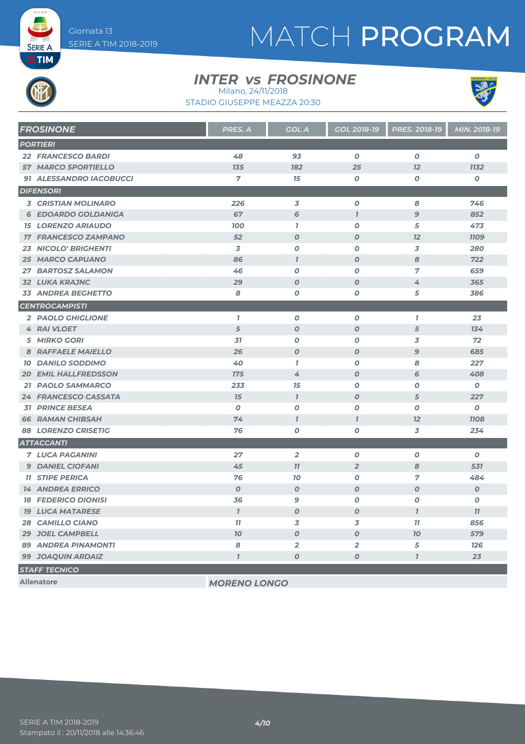**SERIE A ETIM** 

# MATCH PROGRAM

#### **INTER vs FROSINONE**





| <b>FROSINONE</b>            | PRES. A          | <b>GOL A</b>     | GOL 2018-19      | PRES. 2018-19    | MIN. 2018-19     |
|-----------------------------|------------------|------------------|------------------|------------------|------------------|
| <b>PORTIERI</b>             |                  |                  |                  |                  |                  |
| <b>22 FRANCESCO BARDI</b>   | 48               | 93               | $\boldsymbol{o}$ | $\boldsymbol{0}$ | $\boldsymbol{o}$ |
| <b>57 MARCO SPORTIELLO</b>  | 135              | 182              | 25               | 12               | <b>1132</b>      |
| 91 ALESSANDRO IACOBUCCI     | $\overline{7}$   | 15               | $\boldsymbol{o}$ | 0                | 0                |
| <b>DIFENSORI</b>            |                  |                  |                  |                  |                  |
| <b>3 CRISTIAN MOLINARO</b>  | 226              | 3                | $\boldsymbol{o}$ | 8                | 746              |
| <b>6 EDOARDO GOLDANIGA</b>  | 67               | 6                | $\mathbf{I}$     | $\mathbf{9}$     | 852              |
| <b>15 LORENZO ARIAUDO</b>   | <b>100</b>       | $\mathbf{7}$     | 0                | 5                | 473              |
| <b>17 FRANCESCO ZAMPANO</b> | 52               | $\boldsymbol{O}$ | $\boldsymbol{O}$ | 12               | <b>1109</b>      |
| <b>23 NICOLO' BRIGHENTI</b> | 3                | $\boldsymbol{O}$ | $\boldsymbol{o}$ | 3                | 280              |
| <b>25 MARCO CAPUANO</b>     | 86               | $\mathbf{I}$     | $\boldsymbol{O}$ | 8                | 722              |
| 27 BARTOSZ SALAMON          | 46               | $\boldsymbol{O}$ | $\boldsymbol{o}$ | $\overline{7}$   | 659              |
| <b>32 LUKA KRAJNC</b>       | 29               | $\boldsymbol{O}$ | $\boldsymbol{o}$ | 4                | 365              |
| <b>33 ANDREA BEGHETTO</b>   | 8                | $\boldsymbol{O}$ | $\boldsymbol{o}$ | 5                | 386              |
| <b>CENTROCAMPISTI</b>       |                  |                  |                  |                  |                  |
| 2 PAOLO GHIGLIONE           | $\mathbf{I}$     | $\boldsymbol{O}$ | $\boldsymbol{o}$ | $\mathbf{I}$     | 23               |
| <b>4 RAI VLOET</b>          | $\overline{5}$   | $\boldsymbol{O}$ | $\pmb{o}$        | $\sqrt{5}$       | 134              |
| <b>5 MIRKO GORI</b>         | 31               | 0                | 0                | 3                | 72               |
| 8 RAFFAELE MAIELLO          | 26               | $\boldsymbol{O}$ | $\boldsymbol{O}$ | $\overline{9}$   | 685              |
| <b>10 DANILO SODDIMO</b>    | 40               | $\mathbf{7}$     | $\boldsymbol{O}$ | 8                | 227              |
| <b>20 EMIL HALLFREDSSON</b> | <b>175</b>       | 4                | $\boldsymbol{O}$ | 6                | 408              |
| 21 PAOLO SAMMARCO           | 233              | 15               | 0                | $\boldsymbol{0}$ | $\boldsymbol{o}$ |
| 24 FRANCESCO CASSATA        | 15               | $\mathcal{I}$    | $\boldsymbol{O}$ | 5                | 227              |
| <b>31 PRINCE BESEA</b>      | $\boldsymbol{0}$ | $\pmb{o}$        | $\boldsymbol{O}$ | 0                | 0                |
| <b>66 RAMAN CHIBSAH</b>     | 74               | $\overline{1}$   | $\overline{1}$   | 12               | <b>1108</b>      |
| <b>88 LORENZO CRISETIG</b>  | 76               | $\boldsymbol{O}$ | $\boldsymbol{o}$ | 3                | 234              |
| <b>ATTACCANTI</b>           |                  |                  |                  |                  |                  |
| <b>7 LUCA PAGANINI</b>      | 27               | $\overline{2}$   | $\boldsymbol{o}$ | 0                | $\boldsymbol{0}$ |
| <b>9 DANIEL CIOFANI</b>     | 45               | 77               | $\overline{2}$   | 8                | 531              |
| <b>11 STIPE PERICA</b>      | 76               | 70               | $\boldsymbol{o}$ | 7                | 484              |
| <b>14 ANDREA ERRICO</b>     | $\boldsymbol{0}$ | $\boldsymbol{O}$ | $\boldsymbol{O}$ | $\overline{O}$   | $\boldsymbol{O}$ |
| <b>18 FEDERICO DIONISI</b>  | 36               | $\mathbf{9}$     | $\pmb{o}$        | $\boldsymbol{O}$ | O                |
| <b>19 LUCA MATARESE</b>     | $\overline{1}$   | $\boldsymbol{O}$ | $\boldsymbol{O}$ | $\mathbf{7}$     | 11               |
| 28 CAMILLO CIANO            | 11               | 3                | 3                | 77               | 856              |
| 29 JOEL CAMPBELL            | 70               | $\boldsymbol{O}$ | $\boldsymbol{O}$ | 70               | 579              |
| <b>89 ANDREA PINAMONTI</b>  | 8                | $\overline{2}$   | $\overline{a}$   | 5                | 126              |
| <b>99 JOAQUIN ARDAIZ</b>    | $\overline{I}$   | $\boldsymbol{O}$ | $\boldsymbol{O}$ | $\overline{I}$   | 23               |
| <b>STAFF TECNICO</b>        |                  |                  |                  |                  |                  |

**Allenatore** *MORENO LONGO*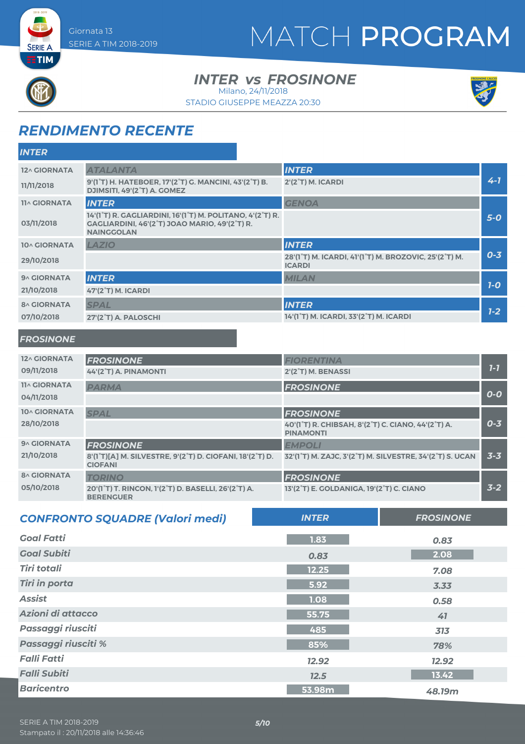### MATCH PROGRAM

#### **INTER vs FROSINONE**

Milano, 24/11/2018





### *RENDIMENTO RECENTE*

| <b>INTER</b>        |                                                                                                                                 |                                                                        |         |
|---------------------|---------------------------------------------------------------------------------------------------------------------------------|------------------------------------------------------------------------|---------|
| 12^ GIORNATA        | <b>ATALANTA</b>                                                                                                                 | <b>INTER</b>                                                           |         |
| 11/11/2018          | 9'(1 <sup>°</sup> T) H. HATEBOER, 17'(2 <sup>°</sup> T) G. MANCINI, 43'(2 <sup>°</sup> T) B.<br>DJIMSITI, 49'(2°T) A. GOMEZ     | $2'(2°T)$ M. ICARDI                                                    | $4 - 7$ |
| <b>11^ GIORNATA</b> | <b>INTER</b>                                                                                                                    | <b>GENOA</b>                                                           |         |
| 03/11/2018          | 14'(1°T) R. GAGLIARDINI, 16'(1°T) M. POLITANO, 4'(2°T) R.<br>GAGLIARDINI, 46'(2°T) JOAO MARIO, 49'(2°T) R.<br><b>NAINGGOLAN</b> |                                                                        | $5-0$   |
| 10^ GIORNATA        | LAZIO                                                                                                                           | <b>INTER</b>                                                           |         |
| 29/10/2018          |                                                                                                                                 | 28'(1°T) M. ICARDI, 41'(1°T) M. BROZOVIC, 25'(2°T) M.<br><b>ICARDI</b> | $0 - 3$ |
| 9^ GIORNATA         | <b>INTER</b>                                                                                                                    | <b>MILAN</b>                                                           |         |
| 21/10/2018          | <b>47'(2°T) M. ICARDI</b>                                                                                                       |                                                                        | $7-0$   |
| <b>8^ GIORNATA</b>  | <b>SPAL</b>                                                                                                                     | <b>INTER</b>                                                           |         |
| 07/10/2018          | 27'(2°T) A. PALOSCHI                                                                                                            | 14'(1°T) M. ICARDI, 33'(2°T) M. ICARDI                                 | $1-2$   |

#### *FROSINONE*

**SERIE A EETIM** 

| 12^ GIORNATA        | <b>FROSINONE</b>                                                           | <b>FIORENTINA</b>                                                      |         |
|---------------------|----------------------------------------------------------------------------|------------------------------------------------------------------------|---------|
| 09/11/2018          | 44'(2°T) A. PINAMONTI                                                      | 2'(2°T) M. BENASSI                                                     | $7 - 7$ |
| <b>11^ GIORNATA</b> | <b>PARMA</b>                                                               | <b>FROSINONE</b>                                                       |         |
| 04/11/2018          |                                                                            |                                                                        | $O-O$   |
| <b>10^ GIORNATA</b> | <b>SPAL</b>                                                                | <b>FROSINONE</b>                                                       |         |
| 28/10/2018          |                                                                            | 40'(1°T) R. CHIBSAH, 8'(2°T) C. CIANO, 44'(2°T) A.<br><b>PINAMONTI</b> | $0 - 3$ |
| 9^ GIORNATA         | <b>FROSINONE</b>                                                           | <b>EMPOLI</b>                                                          |         |
| 21/10/2018          | 8'(1°T)[A] M. SILVESTRE, 9'(2°T) D. CIOFANI, 18'(2°T) D.<br><b>CIOFANI</b> | 32'(1°T) M. ZAJC, 3'(2°T) M. SILVESTRE, 34'(2°T) S. UCAN               | $3 - 3$ |
| <b>8^ GIORNATA</b>  | <b>TORINO</b>                                                              | <b>FROSINONE</b>                                                       |         |
| 05/10/2018          | 20'(1°T) T. RINCON, 1'(2°T) D. BASELLI, 26'(2°T) A.<br><b>BERENGUER</b>    | 13'(2°T) E. GOLDANIGA, 19'(2°T) C. CIANO                               | $3 - 2$ |

| <b>CONFRONTO SQUADRE (Valori medi)</b> | <b>INTER</b> | <b>FROSINONE</b> |
|----------------------------------------|--------------|------------------|
| <b>Goal Fatti</b>                      | 1.83         | 0.83             |
| <b>Goal Subiti</b>                     | 0.83         | 2.08             |
| <b>Tiri totali</b>                     | 12.25        | 7.08             |
| <b>Tiri in porta</b>                   | 5.92         | 3.33             |
| <b>Assist</b>                          | 1.08         | 0.58             |
| Azioni di attacco                      | 55.75        | 41               |
| <b>Passaggi riusciti</b>               | 485          | 313              |
| <b>Passaggi riusciti %</b>             | 85%          | 78%              |
| <b>Falli Fatti</b>                     | 12.92        | 12.92            |
| <b>Falli Subiti</b>                    | 12.5         | 13.42            |
| Baricentro                             | 53.98m       | 48.19m           |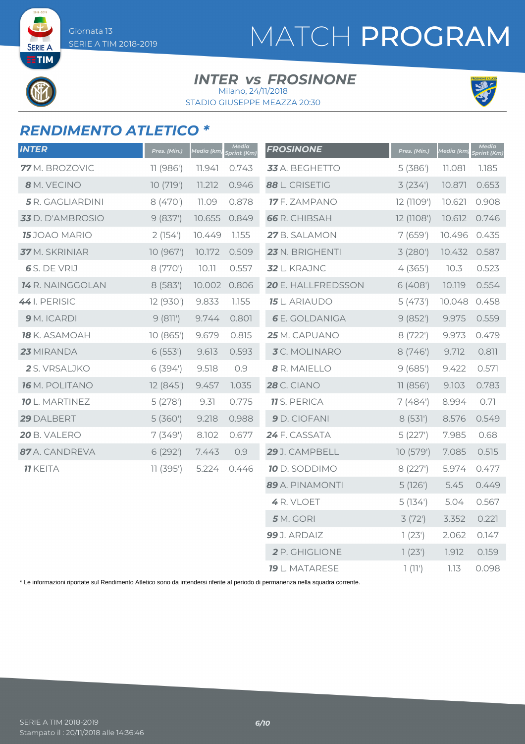**SERIE A ETIM** 

# MATCH PROGRAM

#### **INTER vs FROSINONE**

STADIO GIUSEPPE MEAZZA 20:30 Milano, 24/11/2018



### *RENDIMENTO ATLETICO \**

| <b>INTER</b>            | Pres. (Min.) | Media (km) | Media<br>Sprint (Km) | <b>FROSINONE</b>      | Pres. (Min.) | Media (km) | Media<br>Sprint (Km) |
|-------------------------|--------------|------------|----------------------|-----------------------|--------------|------------|----------------------|
| 77 M. BROZOVIC          | 11 (986')    | 11.941     | 0.743                | 33 A. BEGHETTO        | 5(386)       | 11.081     | 1.185                |
| 8 M. VECINO             | 10(719')     | 11.212     | 0.946                | 88 L. CRISETIG        | 3(234)       | 10.871     | 0.653                |
| 5 R. GAGLIARDINI        | 8 (470')     | 11.09      | 0.878                | 17 F. ZAMPANO         | 12 (1109')   | 10.621     | 0.908                |
| 33 D. D'AMBROSIO        | 9(837)       | 10.655     | 0.849                | <b>66</b> R. CHIBSAH  | 12 (1108')   | 10.612     | 0.746                |
| <b>15</b> JOAO MARIO    | 2(154)       | 10.449     | 1.155                | 27 B. SALAMON         | 7(659)       | 10.496     | 0.435                |
| 37 M. SKRINIAR          | 10 (967')    | 10.172     | 0.509                | 23 N. BRIGHENTI       | 3(280)       | 10.432     | 0.587                |
| 6 S. DE VRIJ            | 8 (770')     | 10.11      | 0.557                | 32 L. KRAJNC          | 4(365)       | 10.3       | 0.523                |
| <b>14</b> R. NAINGGOLAN | 8(583)       | 10.002     | 0.806                | 20 E. HALLFREDSSON    | 6(408)       | 10.119     | 0.554                |
| 44 I. PERISIC           | 12 (930')    | 9.833      | 1.155                | <b>15</b> L. ARIAUDO  | 5(473)       | 10.048     | 0.458                |
| 9 M. ICARDI             | 9(811)       | 9.744      | 0.801                | <b>6</b> E. GOLDANIGA | 9(852)       | 9.975      | 0.559                |
| 18 K. ASAMOAH           | 10 (865')    | 9.679      | 0.815                | 25 M. CAPUANO         | 8 (722')     | 9.973      | 0.479                |
| 23 MIRANDA              | 6(553)       | 9.613      | 0.593                | 3C. MOLINARO          | 8(746)       | 9.712      | 0.811                |
| 2 S. VRSALJKO           | 6(394)       | 9.518      | 0.9                  | 8 R. MAIELLO          | 9(685)       | 9.422      | 0.571                |
| <b>16</b> M. POLITANO   | 12(845)      | 9.457      | 1.035                | <b>28</b> C. CIANO    | 11(856')     | 9.103      | 0.783                |
| <b>10</b> L. MARTINEZ   | 5(278)       | 9.31       | 0.775                | <b>11</b> S. PERICA   | 7(484)       | 8.994      | 0.71                 |
| 29 DALBERT              | 5(360)       | 9.218      | 0.988                | 9 D. CIOFANI          | 8(531)       | 8.576      | 0.549                |
| 20 B. VALERO            | 7(349)       | 8.102      | 0.677                | 24 F. CASSATA         | 5(227)       | 7.985      | 0.68                 |
| 87 A. CANDREVA          | 6(292)       | 7.443      | 0.9                  | 29 J. CAMPBELL        | 10 (579')    | 7.085      | 0.515                |
| <b>11 KEITA</b>         | 11(395)      | 5.224      | 0.446                | 10 D. SODDIMO         | 8(227)       | 5.974      | 0.477                |
|                         |              |            |                      | 89 A. PINAMONTI       | 5(126)       | 5.45       | 0.449                |
|                         |              |            |                      | 4 R. VLOET            | 5(134)       | 5.04       | 0.567                |
|                         |              |            |                      | $5$ M. GORI           | 3(72)        | 3.352      | 0.221                |
|                         |              |            |                      | 99 J. ARDAIZ          | 1(23')       | 2.062      | 0.147                |
|                         |              |            |                      | 2 P. GHIGLIONE        | 1(23)        | 1.912      | 0.159                |
|                         |              |            |                      | <b>19</b> L. MATARESE | 1(11)        | 7.13       | 0.098                |

\* Le informazioni riportate sul Rendimento Atletico sono da intendersi riferite al periodo di permanenza nella squadra corrente.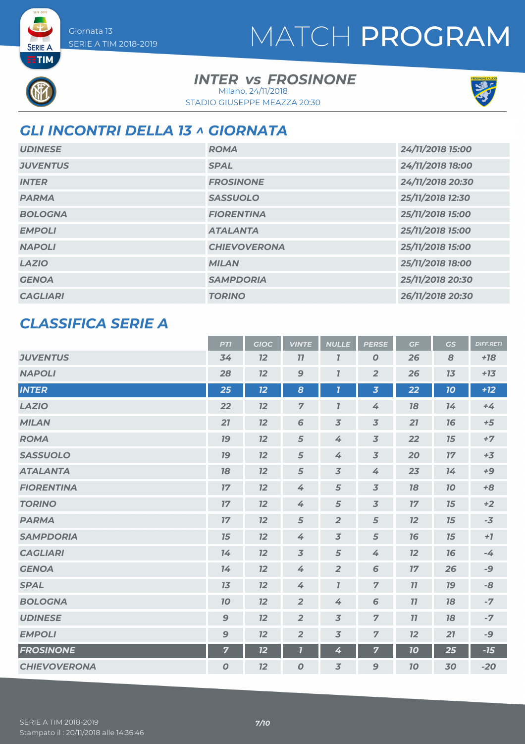### MATCH PROGRAM

**SERIE A ETIM** 

### **INTER vs FROSINONE**

STADIO GIUSEPPE MEAZZA 20:30 Milano, 24/11/2018



### *GLI INCONTRI DELLA 13 ^ GIORNATA*

| <b>UDINESE</b>  | <b>ROMA</b>         | 24/11/2018 15:00 |
|-----------------|---------------------|------------------|
| <b>JUVENTUS</b> | <b>SPAL</b>         | 24/11/2018 18:00 |
| <b>INTER</b>    | <b>FROSINONE</b>    | 24/11/2018 20:30 |
| <b>PARMA</b>    | <b>SASSUOLO</b>     | 25/11/2018 12:30 |
| <b>BOLOGNA</b>  | <b>FIORENTINA</b>   | 25/11/2018 15:00 |
| <b>EMPOLI</b>   | <b>ATALANTA</b>     | 25/11/2018 15:00 |
| <b>NAPOLI</b>   | <b>CHIEVOVERONA</b> | 25/11/2018 15:00 |
| <b>LAZIO</b>    | <b>MILAN</b>        | 25/11/2018 18:00 |
| <b>GENOA</b>    | <b>SAMPDORIA</b>    | 25/11/2018 20:30 |
| <b>CAGLIARI</b> | <b>TORINO</b>       | 26/11/2018 20:30 |

### *CLASSIFICA SERIE A*

|                     | <b>PTI</b>       | <b>GIOC</b> | <b>VINTE</b>     | <b>NULLE</b>              | <b>PERSE</b>            | GF | GS | <b>DIFF.RETI</b> |
|---------------------|------------------|-------------|------------------|---------------------------|-------------------------|----|----|------------------|
| <b>JUVENTUS</b>     | 34               | 12          | 77               | $\overline{I}$            | 0                       | 26 | 8  | $+18$            |
| <b>NAPOLI</b>       | 28               | 12          | $\mathbf{9}$     | $\overline{I}$            | $\overline{2}$          | 26 | 13 | $+13$            |
| <b>INTER</b>        | 25               | 12          | 8                | $\overline{\mathbf{I}}$   | $\overline{\mathbf{3}}$ | 22 | 10 | $+12$            |
| <b>LAZIO</b>        | 22               | 12          | $\overline{7}$   | $\mathbf{7}$              | 4                       | 78 | 14 | $+4$             |
| <b>MILAN</b>        | 21               | 12          | 6                | $\overline{3}$            | $\overline{3}$          | 21 | 76 | $+5$             |
| <b>ROMA</b>         | 19               | 12          | 5                | 4                         | $\overline{3}$          | 22 | 15 | $+7$             |
| <b>SASSUOLO</b>     | 79               | 12          | 5                | 4                         | $\overline{3}$          | 20 | 17 | $+3$             |
| <b>ATALANTA</b>     | 78               | 12          | $\sqrt{5}$       | $\overline{3}$            | 4                       | 23 | 14 | $+9$             |
| <b>FIORENTINA</b>   | 17               | 12          | 4                | $\sqrt{5}$                | $\overline{3}$          | 18 | 70 | $+8$             |
| <b>TORINO</b>       | 17               | 12          | 4                | 5                         | $\overline{3}$          | 17 | 15 | $+2$             |
| <b>PARMA</b>        | 17               | 12          | 5                | $\overline{2}$            | 5                       | 12 | 15 | $-3$             |
| <b>SAMPDORIA</b>    | 15               | 12          | 4                | $\overline{3}$            | 5                       | 16 | 15 | $+7$             |
| <b>CAGLIARI</b>     | 14               | 12          | $\overline{3}$   | 5                         | 4                       | 12 | 16 | $-4$             |
| <b>GENOA</b>        | 14               | 12          | 4                | $\overline{2}$            | 6                       | 17 | 26 | $-9$             |
| <b>SPAL</b>         | 13               | 12          | 4                | $\overline{\mathfrak{l}}$ | $\overline{7}$          | 11 | 19 | -8               |
| <b>BOLOGNA</b>      | 70               | 12          | $\overline{2}$   | 4                         | 6                       | 77 | 78 | $-7$             |
| <b>UDINESE</b>      | $\boldsymbol{9}$ | 12          | $\overline{2}$   | $\overline{3}$            | $\overline{z}$          | 11 | 18 | $-7$             |
| <b>EMPOLI</b>       | $\mathbf{9}$     | 12          | $\overline{2}$   | $\overline{3}$            | $\overline{z}$          | 12 | 21 | $-9$             |
| <b>FROSINONE</b>    | $\overline{7}$   | 12          | 7                | 4                         | 7                       | 10 | 25 | $-15$            |
| <b>CHIEVOVERONA</b> | $\boldsymbol{O}$ | 12          | $\boldsymbol{0}$ | 3                         | 9                       | 70 | 30 | $-20$            |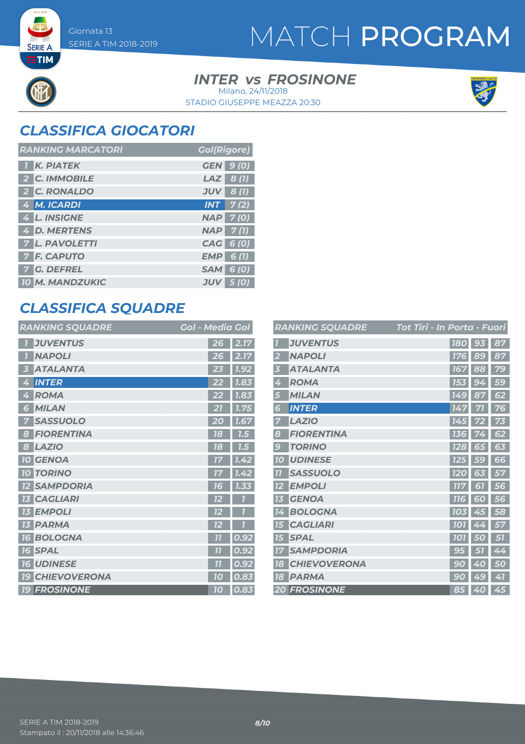**SERIE A ETIM** 

### MATCH PROGRAM

#### **INTER vs FROSINONE** STADIO GIUSEPPE MEAZZA 20:30 Milano, 24/11/2018



### *CLASSIFICA GIOCATORI*

| <b>RANKING MARCATORI</b> | <b>Gol(Rigore)</b>         |
|--------------------------|----------------------------|
| <b>K. PIATEK</b>         | <b>GEN</b> 9 (0)           |
| 2 C. IMMOBILE            | $LAZ$ 8 (1)                |
| 2 C. RONALDO             | $JUV$ 8 (1)                |
| 4 M. ICARDI              | $INT$ $7(2)$               |
| 4 L. INSIGNE             | <b>NAP 7(0)</b>            |
| 4 D. MERTENS             | $NAP$ 7(1)                 |
| <b>7 L. PAVOLETTI</b>    | CAG 6 (0)                  |
| <b>7 F. CAPUTO</b>       | $EMP$ 6(1)                 |
| <b>7 G. DEFREL</b>       | <b>SAM 6 (0)</b>           |
| <b>10 M. MANDZUKIC</b>   | <b>JUV</b><br><b>5</b> (0) |

### *CLASSIFICA SQUADRE*

| <b>RANKING SQUADRE</b>      | Gol - Media Gol |      |
|-----------------------------|-----------------|------|
| <b>JUVENTUS</b>             | 26              | 2.17 |
| <b>NAPOLI</b><br>7          | 26              | 2.17 |
| <b>ATALANTA</b><br>3        | 23              | 1.92 |
| <b>INTER</b><br>4           | 22              | 7.83 |
| <b>ROMA</b><br>4            | 22              | 1.83 |
| <b>MILAN</b><br>6           | 21              | 7.75 |
| <b>SASSUOLO</b><br>7        | 20              | 1.67 |
| <b>FIORENTINA</b><br>8      | 18              | 7.5  |
| <b>LAZIO</b><br>8           | 78              | 7.5  |
| <b>10 GENOA</b>             | 17              | 1.42 |
| <b>TORINO</b><br>70         | 17              | 1.42 |
| <b>SAMPDORIA</b>            | 76              | 1.33 |
| <b>CAGLIARI</b><br>13       | 12              |      |
| <b>EMPOLI</b><br>13         | 12              |      |
| <b>13 PARMA</b>             | 72              |      |
| <b>BOLOGNA</b><br>16        | 77              | 0.92 |
| <b>SPAL</b><br>16           | 77              | 0.92 |
| <b>UDINESE</b><br><b>16</b> | 77              | 0.92 |
| <b>19 CHIEVOVERONA</b>      | 10              | 0.83 |
| <b>19 FROSINONE</b>         | 10              | 0.83 |

|                 | <b>RANKING SQUADRE</b> | Tot Tiri - In Porta - Fuori |                          |    |
|-----------------|------------------------|-----------------------------|--------------------------|----|
|                 | <b>JUVENTUS</b>        | <b>180</b>                  | 93                       | 87 |
| $\overline{2}$  | <b>NAPOLI</b>          | <b>176</b>                  | 89                       | 87 |
| 3               | <b>ATALANTA</b>        | <b>167</b>                  | 88                       | 79 |
| 4               | <b>ROMA</b>            | 153                         | 94                       | 59 |
| 5               | <b>MILAN</b>           | 149                         | 87                       | 62 |
| 6               | <b>INTER</b>           | 147                         | 71                       | 76 |
| 7               | <b>LAZIO</b>           | 145                         | 72                       | 73 |
| 8               | <b>FIORENTINA</b>      | 136                         | 74                       | 62 |
| $\overline{9}$  | <b>TORINO</b>          | <b>128</b>                  | 65                       | 63 |
| <b>10</b>       | <b>UDINESE</b>         | 125                         | 59                       | 66 |
| $\overline{11}$ | <b>SASSUOLO</b>        | <b>120</b>                  | 63                       | 57 |
| 12              | <b>EMPOLI</b>          | 117                         | 61                       | 56 |
| 13              | <b>GENOA</b>           | <b>116</b>                  | 60                       | 56 |
| 14              | <b>BOLOGNA</b>         | 103                         | 45                       | 58 |
| 15              | <b>CAGLIARI</b>        | <b>101</b>                  | 4                        | 57 |
| 15              | <b>SPAL</b>            | <b>101</b>                  | 50                       | 57 |
| 17              | <b>SAMPDORIA</b>       | G                           | 51                       | 44 |
| 18              | <b>CHIEVOVERONA</b>    | 90                          | $\boldsymbol{\phi}$<br>0 | 50 |
| <b>18</b>       | <b>PARMA</b>           | 90                          | 49                       | 41 |
|                 | <b>20 FROSINONE</b>    |                             | 85 40                    | 45 |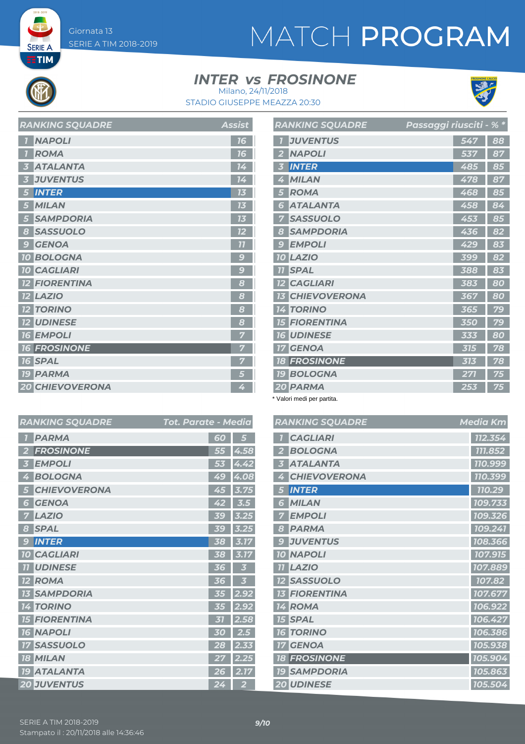**SERIE A**  $ETIM$ 

# MATCH PROGRAM

#### **INTER vs FROSINONE**



*RANKING SQUADRE Media Km*

 *CAGLIARI 112.354 BOLOGNA 111.852 ATALANTA 110.999*  $|$  **710.399**  *INTER 110.29 MILAN 109.733 EMPOLI 109.326 PARMA 109.241 JUVENTUS 108.366 NAPOLI 107.915 LAZIO 107.889 107.82 FIORENTINA 107.677 ROMA 106.922 SPAL 106.427 TORINO 106.386 GENOA 105.938 FROSINONE 105.904 SAMPDORIA 105.863 UDINESE 105.504*

STADIO GIUSEPPE MEAZZA 20:30 Milano, 24/11/2018

| <b>RANKING SQUADRE</b> | <b>Assist</b>            |
|------------------------|--------------------------|
| <b>NAPOLI</b>          | 16                       |
| <b>ROMA</b>            | 16                       |
| <b>ATALANTA</b>        | 14                       |
| <b>JUVENTUS</b>        | 14                       |
| <b>INTER</b>           | 73                       |
| <b>MILAN</b>           | 13                       |
| <b>SAMPDORIA</b>       | 13                       |
| <b>SASSUOLO</b><br>8   | 12                       |
| <b>GENOA</b><br>9      | 77                       |
| <b>10 BOLOGNA</b>      | $\overline{\mathcal{C}}$ |
| <b>10 CAGLIARI</b>     | $\mathbf C$              |
| <b>FIORENTINA</b>      | 8                        |
| <b>LAZIO</b>           | 8                        |
| <b>12 TORINO</b>       | 8                        |
| <b>12 UDINESE</b>      | 8                        |
| <b>16 EMPOLI</b>       |                          |
| <b>16 FROSINONE</b>    |                          |
| <b>16 SPAL</b>         |                          |
| <b>19 PARMA</b>        | 5                        |
| <b>20 CHIEVOVERONA</b> | 4                        |

|                | <b>RANKING SQUADRE</b> | Passaggi riusciti <u>- % *</u> |    |
|----------------|------------------------|--------------------------------|----|
|                | <b>JUVENTUS</b>        | 547                            | 88 |
| $\overline{2}$ | <b>NAPOLI</b>          | 537                            | 87 |
| 3              | <b>INTER</b>           | 485                            | 85 |
| 4              | <b>MILAN</b>           | 478                            | 87 |
| 5              | <b>ROMA</b>            | 468                            | 85 |
| 6              | <b>ATALANTA</b>        | 458                            | 84 |
| 7              | <b>SASSUOLO</b>        | 453                            | 85 |
| 8              | <b>SAMPDORIA</b>       | 436                            | 82 |
| 9              | <b>EMPOLI</b>          | 429                            | 83 |
|                | <b>10 LAZIO</b>        | 399                            | 82 |
| 77             | <b>SPAL</b>            | 388                            | 83 |
|                | <b>12 CAGLIARI</b>     | 383                            | 80 |
| 73             | <b>CHIEVOVERONA</b>    | 367                            | 80 |
|                | <b>14 TORINO</b>       | 365                            | 79 |
| <b>15</b>      | <b>FIORENTINA</b>      | 350                            | 79 |
|                | <b>16 UDINESE</b>      | 333                            | 80 |
|                | <b>17 GENOA</b>        | 315                            | 78 |
|                | <b>18 FROSINONE</b>    | 313                            | 78 |
|                | <b>19 BOLOGNA</b>      | 271                            | 75 |
|                | 20 PARMA               | 253                            | 75 |

\* Valori medi per partita.

|                | <b>RANKING SQUADRE</b> | Tot. Parate - Media |                      |   | <b>RANKING SQUADRE</b> |
|----------------|------------------------|---------------------|----------------------|---|------------------------|
|                | <b>PARMA</b>           | 60                  | 5                    |   | <b>CAGLIARI</b>        |
| $\overline{2}$ | <b>FROSINONE</b>       |                     | $\overline{55}$ 4.58 |   | <b>BOLOGNA</b>         |
| 3              | <b>EMPOLI</b>          |                     | 53 4.42              | 3 | <b>ATALANTA</b>        |
| 4              | <b>BOLOGNA</b>         |                     | 49 4.08              |   | <b>CHIEVOVERONA</b>    |
| 5              | <b>CHIEVOVERONA</b>    |                     | 45 3.75              |   | 5 INTER                |
| 6              | <b>GENOA</b>           | 42                  | 3.5                  |   | <b>6 MILAN</b>         |
|                | <b>7 LAZIO</b>         | 39                  | 3.25                 |   | <b>7 EMPOLI</b>        |
|                | 8 SPAL                 | 39                  | 3.25                 |   | 8 PARMA                |
| 9              | <b>INTER</b>           | 38                  | 3.17                 | 9 | <b>JUVENTUS</b>        |
|                | <b>10 CAGLIARI</b>     | 38                  | 3.17                 |   | <b>10 NAPOLI</b>       |
|                | <b>11 UDINESE</b>      | 36                  | 3                    |   | <b>11 LAZIO</b>        |
|                | <b>12 ROMA</b>         | 36                  | 3                    |   | <b>12 SASSUOLO</b>     |
|                | <b>13 SAMPDORIA</b>    |                     | $35$ 2.92            |   | <b>13 FIORENTINA</b>   |
|                | <b>14 TORINO</b>       | 35                  | 2.92                 |   | 14 ROMA                |
|                | <b>15 FIORENTINA</b>   | 31                  | 2.58                 |   | <b>15 SPAL</b>         |
|                | <b>16 NAPOLI</b>       | 30                  | 2.5                  |   | <b>16 TORINO</b>       |
|                | <b>17 SASSUOLO</b>     | 28                  | 2.33                 |   | <b>17 GENOA</b>        |
|                | <b>18 MILAN</b>        | 27                  | 2.25                 |   | <b>18 FROSINONE</b>    |
|                | <b>19 ATALANTA</b>     | 26 <sup>1</sup>     | 2.17                 |   | <b>19 SAMPDORIA</b>    |
|                | <b>20 JUVENTUS</b>     | 24                  | $\overline{2}$       |   | 20 UDINESE             |

| <b>PARMA</b>         | 60        | 5           |
|----------------------|-----------|-------------|
| <b>FROSINONE</b>     | 55        | 4.58        |
| <b>EMPOLI</b>        | 53        | 4.42        |
| <b>BOLOGNA</b><br>4  | 49        | 4.08        |
| <b>CHIEVOVERONA</b>  | 45        | 3.75        |
| <b>GENOA</b><br>6    | 42        | 3.5         |
| <b>LAZIO</b>         | 39        | 3.25        |
| <b>SPAL</b><br>8     | 59        | 3.25        |
| <b>INTER</b><br>9    | 38        | 3.17        |
| <b>10 CAGLIARI</b>   | 38        | 3.17        |
| <b>TI UDINESE</b>    | 36        | 3           |
| <b>12 ROMA</b>       | 36        | 3           |
| <b>13 SAMPDORIA</b>  | 35        | 2.92        |
| <b>14 TORINO</b>     | 55        | 2.92        |
|                      |           |             |
| <b>15 FIORENTINA</b> | 31        |             |
| <b>16 NAPOLI</b>     | 30        | 2.58<br>2.5 |
| <b>17 SASSUOLO</b>   | 28        | 2.33        |
| <b>MILAN</b><br>18   | $\bf{27}$ | 2.25        |